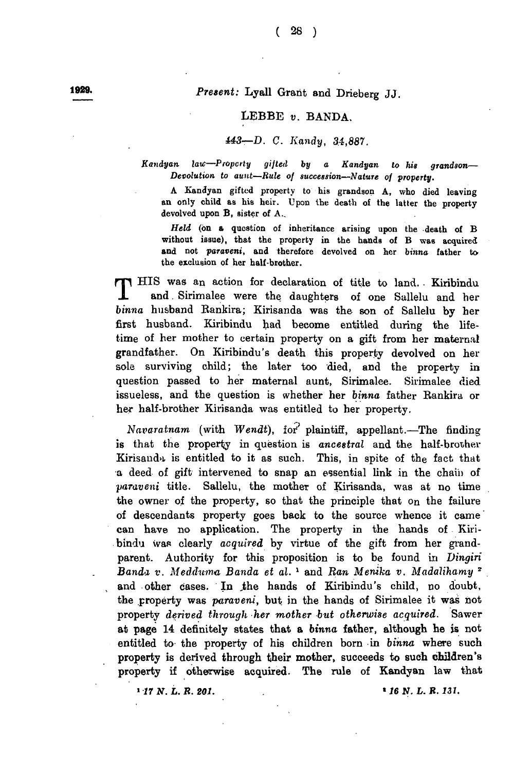## **1929.** *Present:* Lyall Grant and Drieberg JJ.

## LEBBE *v.* BANDA.

## *443— D. C. Kandy, 34,887.*

*Kandyan, law—Property gifted by a Kandyan to his grandson*— *Devolution to aunt—Rule of succession—Nature of property.*

A Kandyan gifted property to his grandson A, who died leaving an only child as his heir. Upon the death of the latter the property devolved upon B, sister of A..

*Held* (on a question of inheritance arising upon the death of B without issue), that the property in the hands of B was acquired and not *paraveni,* and therefore devolved on her *binna* father to the exclusion of her half-brother.

**T** HIS was an action for declaration of title to land. Kiribindu<br>
and Sirimalee were the daughters of one Sallelu and her<br>
binna husband Rankira; Kirisanda was the son of Sallelu by her<br>
fact husband Kiribindu had havens HIS was an action for declaration of title to land. . Kiribindu and. Sirimalee were the daughters of one Sallelu and her first husband. Kiribindu had become entitled during the lifetime of her mother to certain property on a gift from her maternal grandfather. On Kiribindu's death this property devolved on her sole surviving child; the later too died, and the property in question passed to her maternal aunt, Sirimalee. Sirimalee died issueless, and the question is whether her *binna* father Rankira or her half-brother Kirisanda was entitled to her property.

*Navaratnam* (with *Wendt), tor* plaintiff, appellant.—The finding is that the property in question is *ancestral* and the half-brother Kirisanda is entitled to it as such. This, in spite of the fact that a deed of gift intervened to snap an essential link in the chain of *■paraveni* title. Sallelu, the mother of Kirisanda, was at no time the owner of the property, so that the principle that on the failure of descendants property goes back to the source whence it came can have no application. The property in the hands of Kiribindu was clearly *acquired* by virtue of the gift from her grandparent. Authority for this proposition is to be found in *Lingiri Banda v. Medduma Banda et al.* 1 and *Ran Menika v. Madalihamy 2* and other cases. In the hands of Kiribindu's child, no doubt, the property was *paraveni,* but in the hands of Sirimalee it was not property *derived through her mother but otherwise acquired.* Sawer at page 14 definitely states that a *binna* father, although he is not entitled to the property of his children born in *binna* where such property is derived through their mother, succeeds to such children's property if otherwise acquired. The rule of Kandyan law that

*1 17 N. t . R. 201. \*16 17. L. R. 131.*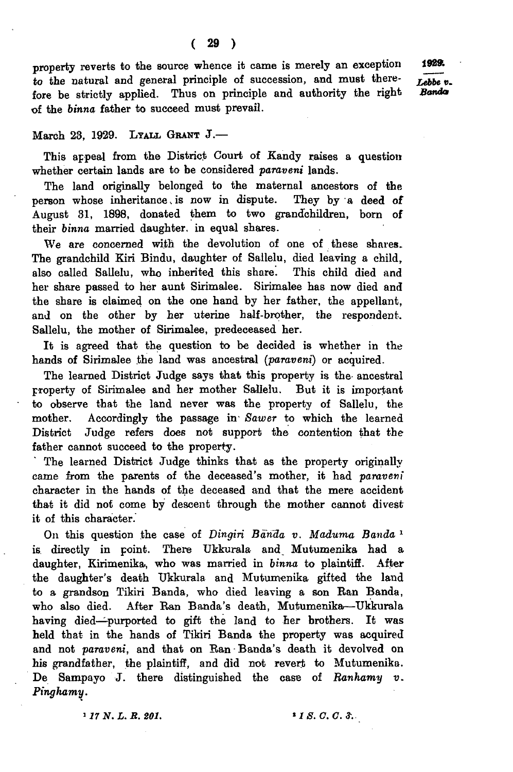property reverts to the source whence it came is merely an exception to the natural and general principle of succession, and must therefore be strictly applied. Thus on principle and authority the right of the *binna* father to succeed must prevail.

## March 23, 1929. LYALL GRANT J.-

This appeal from the District Court of Kandy raises a question whether certain lands are to be considered *paraveni* lands.

The land originally belonged to the maternal ancestors of the person whose inheritance, is now in dispute. They by a deed of August 31, 1898, donated them to two grandchildren, born of their binna married daughter, in equal shares.

We are concerned with the devolution of one of these shares. The grandchild Kiri Bindu, daughter of Sallelu, died leaving a child, also called Sallelu, who inherited this share. This child died and her share passed to her aunt Sirimalee. Sirimalee has now died and the share is claimed on the one hand by her father, the appellant, and on the other by her uterine half-brother, the respondent. Sallelu, the mother of Sirimalee, predeceased her.

It is agreed that the question to be decided is whether in the hands of Sirimalee the land was ancestral (*paraveni*) or acquired.

The learned District Judge says that this property is the- ancestral property of Sirimalee and her mother Sallelu. But it is important to observe that the land never was the property of Sallelu, the mother. Accordingly the passage in *Sawer* to which the learned District Judge refers does not support the contention that the father cannot succeed to the property.

The learned District Judge thinks that as the property originally came from the parents of the deceased's mother, it had *paraveni* character in the hands of the deceased and that the mere accident that it did not come by descent through the mother cannot divest it of this character.

On this question the case of *Dingiri Barida v. Maduma Banda* 1 is directly in point. There Ukkurala and Mutumenika had a daughter, Kirimenika, who was married in *binna* to plaintiff. After the daughter's death Ukkurala and Mutumenika gifted the land to a grandson Tikiri Banda, who died leaving a son Ran Banda, who also died. After Ran Banda's death, Mutumenika—Ukkurala having died—purported to gift the land to her brothers. It was held that in the hands of Tikiri Banda the property was acquired and not *paraveni*, and that on Ran Banda's death it devolved on his grandfather, the plaintiff, and did not revert to Mutumenika. De Sampayo J. there distinguished the case of *Ranhamy v. Pinghamy.*

**>** *17 N. L. R. 201. \* 1 S . C . C.* **J.**

*Lebbe* **t>.** *Banda* 1929.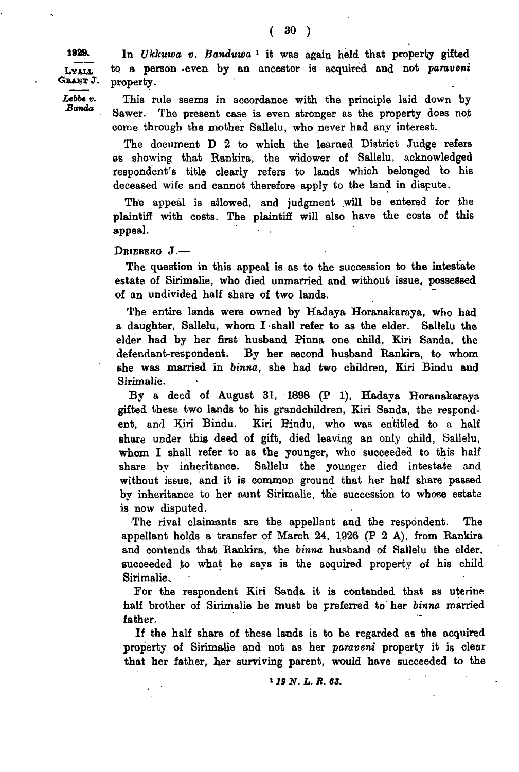Lyali. Grant J.

*Lebbe v. Banda*

1929. In *Ukkuwa v. Banduwa* 1 it was again held that property gifted to a person .even by an ancestor is acquired and not *paraveni* property.

> This rule seems in accordance with the principle laid down by Sawer. The present case is even stronger as the property does not come through the mother Sallelu, who never had any interest.

> The document D 2 to which the learned District Judge refers as showing that Rankira, the widower of Sallelu, acknowledged respondent's title clearly refers to lands which belonged to his deceased wife and cannot therefore apply to the land in dispute.

> The appeal is allowed, and judgment will be entered for the plaintiff with costs. The plaintiff will also have the costs of this appeal.

DRIEBERG J.-

The question in this appeal is as to the succession to the intestate estate of Sirimalie, who died unmarried and without issue, possessed of an undivided half share of two lands.

The entire lands were owned by Hadaya Horanakaraya, who had a daughter, Sallelu, whom I shall refer to as the elder. Sallelu the elder had by her first husband Pinna one child, Kiri Banda, the defendant-respondent. By her second husband Bankira, to whom she was married in *binna,* she had two children, Kiri Bindu and Sirimalie.

By a deed of August 31, 1898 (P 1), Hadaya Horanakaraya gifted these two lands to his grandchildren, Kiri Sanda, the respondent, and Kiri Bindu. Kiri Bindu, who was entitled to a half share under this deed of gift, died leaving an only child, Sallelu, whom I shall refer to as the younger, who succeeded to this half share by inheritance. Sallelu the younger died intestate and without issue, and it is common ground that her half share passed by inheritance to her aunt Sirimalie, the succession to whose estate is now disputed.

The rival claimants are the appellant and the respondent. The appellant holds a transfer of March 24, 1926 (P 2 A), from Bankira and contends that Bankira, the *binna* husband of Sallelu the elder, succeeded to what he says is the acquired property of his child Sirimalie.

For the respondent Kiri Sanda it is contended that as uterine half brother of Sirimalie he must be preferred to her *binna* married father.

If the half share of these lands is to be regarded as the acquired property of Sirimalie and not as her *paraveni* property it is clear that her father, her surviving parent, would have succeeded to the

1 *19 N. L. B. 63.*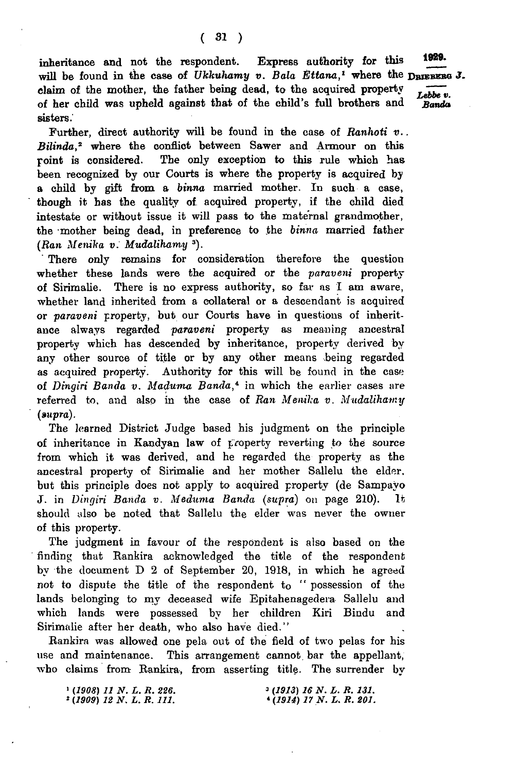inheritance and not the respondent. Express authority for this 1929. will be found in the case of *Ukkuhamy v. Bala Ettana*,<sup>1</sup> where the DRIEBEBG J. claim of the mother, the father being dead, to the acquired property  $\overrightarrow{Lebbe v}$ . of her child was upheld against that of the child's full brothers and *Banda* sisters.

Further, direct authority will be found in the case of *Ranhoti v.. Bilinda*,2 where the conflict between Sawer and Armour on this point is considered. The only exception to this rule which has been recognized by our Courts is where the property is acquired by a child by gift from a *birma* married mother. In such a case, though it has the quality of acquired property, if the child died intestate or without issue it will pass to the maternal grandmother, the mother being dead, in preference to the *binna* married father *(Ran Menika v. Mudalihamy* 3).

There only remains for consideration therefore the question whether these lands were the acquired or the *paraveni* property of Sirimalie. There is no express authority, so far as I am aware, whether land inherited from a collateral or a descendant is acquired or *paraveni* property, but our Courts have in questions of inheritance always regarded *paraveni* property as meaning ancestral property which has descended by inheritance, property derived by any other source of title or by any other means being regarded as acquired property. Authority for this will be found in the case of *Dingiri Banda v. Maduma Banda*,<sup>4</sup> in which the earlier cases are referred to, and also in the case of *Ran Menika v. Mudalihamy (»upra).*

The learned District Judge based his judgment on the principle of inheritance in Kandyan law of property reverting to the source from which it was derived, and he regarded the property as the ancestral property of Sirimalie and her mother Sallelu the elder, but this principle does not apply to acquired property (de Sampayo J. in *Dingiri Banda v. Meduma Banda (supra)* on page 210). It should also be noted that Sallelu the elder was never the owner of this property.

The judgment in favour of the respondent is also based on the finding that Rankira acknowledged the title of the respondent by the document D 2 of September 20, 1918, in which he agreed not to dispute the title of the respondent to " possession of the lands belonging to my deceased wife Epitahenagedera- Sallelu and which lands were possessed by her children Kiri Bindu and Sirimalie after her death, who also have died."

Rankira was allowed one pela out of the field of two pelas for his use and maintenance. This arrangement cannot, bar the appellant, who claims from Rankira., from asserting title. The surrender by

| $(1908)$ 11 N.L.R. 226.           | $(1913)$ 16 N.L.R.131.  |
|-----------------------------------|-------------------------|
| <sup>2</sup> (1909) 12 N.L.R.111. | $(1914)$ 17 N.L.R. 201. |